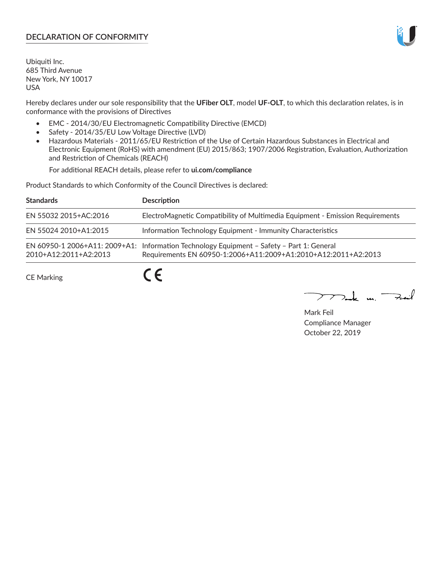## **DECLARATION OF CONFORMITY**

Ubiquiti Inc. 685 Third Avenue New York, NY 10017 USA

Hereby declares under our sole responsibility that the **UFiber OLT**, model **UF-OLT**, to which this declaration relates, is in conformance with the provisions of Directives

- EMC 2014/30/EU Electromagnetic Compatibility Directive (EMCD)
- Safety 2014/35/EU Low Voltage Directive (LVD)
- Hazardous Materials 2011/65/EU Restriction of the Use of Certain Hazardous Substances in Electrical and Electronic Equipment (RoHS) with amendment (EU) 2015/863; 1907/2006 Registration, Evaluation, Authorization and Restriction of Chemicals (REACH)

For additional REACH details, please refer to **ui.com/compliance**

Product Standards to which Conformity of the Council Directives is declared:

| <b>Standards</b>      | <b>Description</b>                                                                                                                                          |
|-----------------------|-------------------------------------------------------------------------------------------------------------------------------------------------------------|
| EN 55032 2015+AC:2016 | ElectroMagnetic Compatibility of Multimedia Equipment - Emission Requirements                                                                               |
| EN 55024 2010+A1:2015 | Information Technology Equipment - Immunity Characteristics                                                                                                 |
| 2010+A12:2011+A2:2013 | EN 60950-1 2006+A11: 2009+A1: Information Technology Equipment - Safety - Part 1: General<br>Requirements EN 60950-1:2006+A11:2009+A1:2010+A12:2011+A2:2013 |
| <b>CE Marking</b>     |                                                                                                                                                             |

Mak m. Fail

Mark Feil Compliance Manager October 22, 2019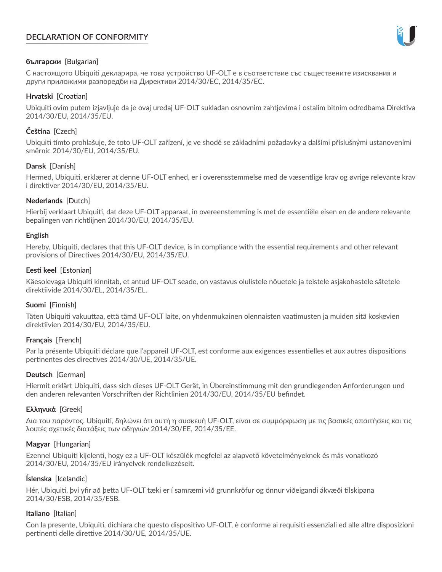# **DECLARATION OF CONFORMITY**



## **български** [Bulgarian]

С настоящото Ubiquiti декларира, че това устройство UF-OLT е в съответствие със съществените изисквания и други приложими разпоредби на Директиви 2014/30/ЕС, 2014/35/ЕС.

## **Hrvatski** [Croatian]

Ubiquiti ovim putem izjavljuje da je ovaj uređaj UF-OLT sukladan osnovnim zahtjevima i ostalim bitnim odredbama Direktiva 2014/30/EU, 2014/35/EU.

# **Čeština** [Czech]

Ubiquiti tímto prohlašuje, že toto UF-OLT zařízení, je ve shodě se základními požadavky a dalšími příslušnými ustanoveními směrnic 2014/30/EU, 2014/35/EU.

## **Dansk** [Danish]

Hermed, Ubiquiti, erklærer at denne UF-OLT enhed, er i overensstemmelse med de væsentlige krav og øvrige relevante krav i direktiver 2014/30/EU, 2014/35/EU.

## **Nederlands** [Dutch]

Hierbij verklaart Ubiquiti, dat deze UF-OLT apparaat, in overeenstemming is met de essentiële eisen en de andere relevante bepalingen van richtlijnen 2014/30/EU, 2014/35/EU.

### **English**

Hereby, Ubiquiti, declares that this UF-OLT device, is in compliance with the essential requirements and other relevant provisions of Directives 2014/30/EU, 2014/35/EU.

## **Eesti keel** [Estonian]

Käesolevaga Ubiquiti kinnitab, et antud UF-OLT seade, on vastavus olulistele nõuetele ja teistele asjakohastele sätetele direktiivide 2014/30/EL, 2014/35/EL.

### **Suomi** [Finnish]

Täten Ubiquiti vakuuttaa, että tämä UF-OLT laite, on yhdenmukainen olennaisten vaatimusten ja muiden sitä koskevien direktiivien 2014/30/EU, 2014/35/EU.

# **Français** [French]

Par la présente Ubiquiti déclare que l'appareil UF-OLT, est conforme aux exigences essentielles et aux autres dispositions pertinentes des directives 2014/30/UE, 2014/35/UE.

### **Deutsch** [German]

Hiermit erklärt Ubiquiti, dass sich dieses UF-OLT Gerät, in Übereinstimmung mit den grundlegenden Anforderungen und den anderen relevanten Vorschriften der Richtlinien 2014/30/EU, 2014/35/EU befindet.

### **Ελληνικά** [Greek]

Δια του παρόντος, Ubiquiti, δηλώνει ότι αυτή η συσκευή UF-OLT, είναι σε συμμόρφωση με τις βασικές απαιτήσεις και τις λοιπές σχετικές διατάξεις των οδηγιών 2014/30/EE, 2014/35/EE.

### **Magyar** [Hungarian]

Ezennel Ubiquiti kijelenti, hogy ez a UF-OLT készülék megfelel az alapvető követelményeknek és más vonatkozó 2014/30/EU, 2014/35/EU irányelvek rendelkezéseit.

### **Íslenska** [Icelandic]

Hér, Ubiquiti, því yfir að þetta UF-OLT tæki er í samræmi við grunnkröfur og önnur viðeigandi ákvæði tilskipana 2014/30/ESB, 2014/35/ESB.

### **Italiano** [Italian]

Con la presente, Ubiquiti, dichiara che questo dispositivo UF-OLT, è conforme ai requisiti essenziali ed alle altre disposizioni pertinenti delle direttive 2014/30/UE, 2014/35/UE.